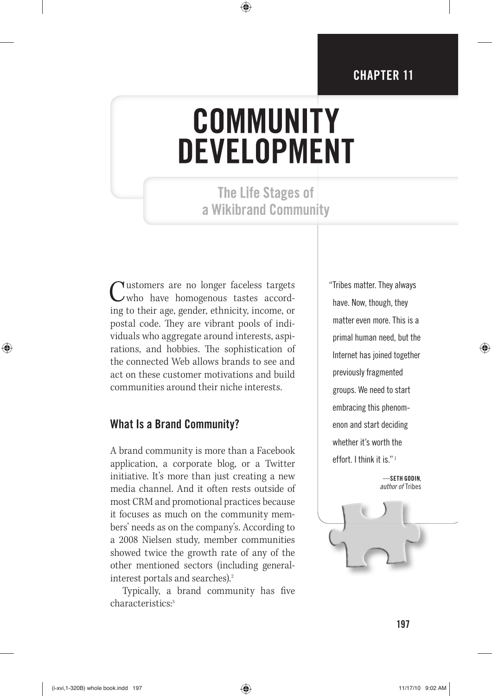# CHAPTER 11

# **COMMUNITY DEVELOPMENT**

**The Life Stages of** a Wikibrand Community

Customers are no longer faceless targets<br>
who have homogenous tastes according to their age, gender, ethnicity, income, or postal code. They are vibrant pools of individuals who aggregate around interests, aspirations, and hobbies. The sophistication of the connected Web allows brands to see and act on these customer motivations and build communities around their niche interests.

## What Is a Brand Community?

A brand community is more than a Facebook application, a corporate blog, or a Twitter initiative. It's more than just creating a new media channel. And it often rests outside of most CRM and promotional practices because it focuses as much on the community members' needs as on the company's. According to a 2008 Nielsen study, member communities showed twice the growth rate of any of the other mentioned sectors (including generalinterest portals and searches).<sup>2</sup>

Typically, a brand community has five characteristics:3

"Tribes matter. They always have. Now, though, they matter even more. This is a primal human need, but the Internet has joined together previously fragmented groups. We need to start embracing this phenomenon and start deciding whether it's worth the effort. I think it is." 1

> *—*SETH GODIN*, author of* Tribes

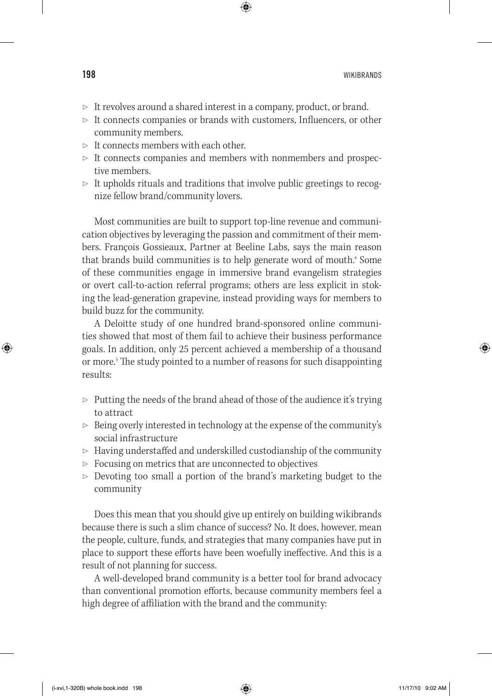- $\triangleright$  It revolves around a shared interest in a company, product, or brand.
- $\triangleright$  It connects companies or brands with customers, Influencers, or other community members.
- $\triangleright$  It connects members with each other.
- $\triangleright$  It connects companies and members with nonmembers and prospective members.
- $\triangleright$  It upholds rituals and traditions that involve public greetings to recognize fellow brand/community lovers.

 Most communities are built to support top-line revenue and communication objectives by leveraging the passion and commitment of their members. François Gossieaux, Partner at Beeline Labs, says the main reason that brands build communities is to help generate word of mouth.<sup>4</sup> Some of these communities engage in immersive brand evangelism strategies or overt call-to-action referral programs; others are less explicit in stoking the lead-generation grapevine, instead providing ways for members to build buzz for the community.

 A Deloitte study of one hundred brand-sponsored online communities showed that most of them fail to achieve their business performance goals. In addition, only 25 percent achieved a membership of a thousand or more.<sup>5</sup> The study pointed to a number of reasons for such disappointing results:

- $\triangleright$  Putting the needs of the brand ahead of those of the audience it's trying to attract
- $\triangleright$  Being overly interested in technology at the expense of the community's social infrastructure
- $\triangleright$  Having understaffed and underskilled custodianship of the community
- $\triangleright$  Focusing on metrics that are unconnected to objectives
- $\triangleright$  Devoting too small a portion of the brand's marketing budget to the community

 Does this mean that you should give up entirely on building wikibrands because there is such a slim chance of success? No. It does, however, mean the people, culture, funds, and strategies that many companies have put in place to support these efforts have been woefully ineffective. And this is a result of not planning for success.

 A well-developed brand community is a better tool for brand advocacy than conventional promotion efforts, because community members feel a high degree of affiliation with the brand and the community: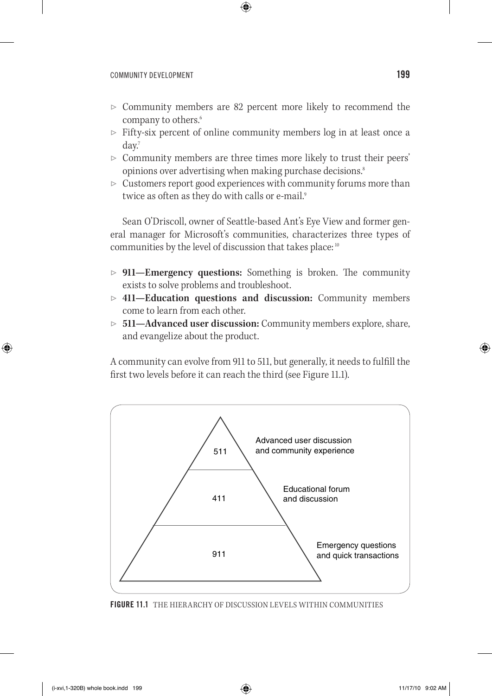- $\triangleright$  Community members are 82 percent more likely to recommend the company to others.<sup>6</sup>
- $\triangleright$  Fifty-six percent of online community members log in at least once a day.7
- $\triangleright$  Community members are three times more likely to trust their peers' opinions over advertising when making purchase decisions.<sup>8</sup>
- $\triangleright$  Customers report good experiences with community forums more than twice as often as they do with calls or e-mail.<sup>9</sup>

 Sean O'Driscoll, owner of Seattle-based Ant's Eye View and former general manager for Microsoft's communities, characterizes three types of communities by the level of discussion that takes place: 10

- ▷ 911—Emergency questions: Something is broken. The community exists to solve problems and troubleshoot.
- ▷ **411—Education questions and discussion:** Community members come to learn from each other.
- ▷ **511—Advanced user discussion:** Community members explore, share, and evangelize about the product.

A community can evolve from 911 to 511, but generally, it needs to fulfill the first two levels before it can reach the third (see Figure 11.1).



FIGURE 11.1 THE HIERARCHY OF DISCUSSION LEVELS WITHIN COMMUNITIES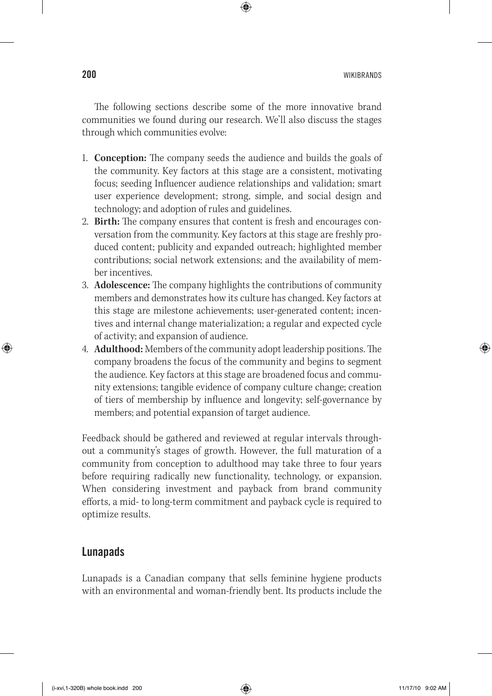The following sections describe some of the more innovative brand communities we found during our research. We'll also discuss the stages through which communities evolve:

- 1. **Conception:** The company seeds the audience and builds the goals of the community. Key factors at this stage are a consistent, motivating focus; seeding Influencer audience relationships and validation; smart user experience development; strong, simple, and social design and technology; and adoption of rules and guidelines.
- 2. **Birth:** The company ensures that content is fresh and encourages conversation from the community. Key factors at this stage are freshly produced content; publicity and expanded outreach; highlighted member contributions; social network extensions; and the availability of member incentives.
- 3. **Adolescence:** The company highlights the contributions of community members and demonstrates how its culture has changed. Key factors at this stage are milestone achievements; user-generated content; incentives and internal change materialization; a regular and expected cycle of activity; and expansion of audience.
- 4. **Adulthood:** Members of the community adopt leadership positions. The company broadens the focus of the community and begins to segment the audience. Key factors at this stage are broadened focus and community extensions; tangible evidence of company culture change; creation of tiers of membership by influence and longevity; self-governance by members; and potential expansion of target audience.

Feedback should be gathered and reviewed at regular intervals throughout a community's stages of growth. However, the full maturation of a community from conception to adulthood may take three to four years before requiring radically new functionality, technology, or expansion. When considering investment and payback from brand community efforts, a mid- to long-term commitment and payback cycle is required to optimize results.

# Lunapads

Lunapads is a Canadian company that sells feminine hygiene products with an environmental and woman-friendly bent. Its products include the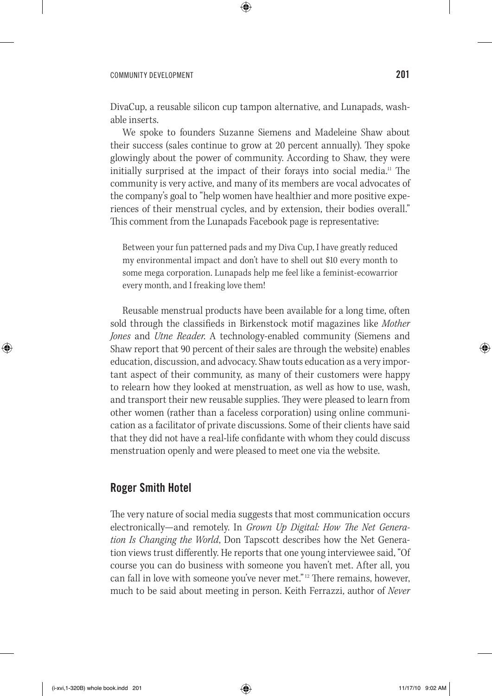DivaCup, a reusable silicon cup tampon alternative, and Lunapads, washable inserts.

 We spoke to founders Suzanne Siemens and Madeleine Shaw about their success (sales continue to grow at 20 percent annually). They spoke glowingly about the power of community. According to Shaw, they were initially surprised at the impact of their forays into social media.<sup>11</sup> The community is very active, and many of its members are vocal advocates of the company's goal to "help women have healthier and more positive experiences of their menstrual cycles, and by extension, their bodies overall." This comment from the Lunapads Facebook page is representative:

Between your fun patterned pads and my Diva Cup, I have greatly reduced my environmental impact and don't have to shell out \$10 every month to some mega corporation. Lunapads help me feel like a feminist-ecowarrior every month, and I freaking love them!

 Reusable menstrual products have been available for a long time, often sold through the classifieds in Birkenstock motif magazines like *Mother Jones* and *Utne Reader*. A technology-enabled community (Siemens and Shaw report that 90 percent of their sales are through the website) enables education, discussion, and advocacy. Shaw touts education as a very important aspect of their community, as many of their customers were happy to relearn how they looked at menstruation, as well as how to use, wash, and transport their new reusable supplies. They were pleased to learn from other women (rather than a faceless corporation) using online communication as a facilitator of private discussions. Some of their clients have said that they did not have a real-life confidante with whom they could discuss menstruation openly and were pleased to meet one via the website.

# Roger Smith Hotel

The very nature of social media suggests that most communication occurs electronically—and remotely. In *Grown Up Digital: How The Net Generation Is Changing the World*, Don Tapscott describes how the Net Generation views trust differently. He reports that one young interviewee said, "Of course you can do business with someone you haven't met. After all, you can fall in love with someone you've never met."<sup>12</sup> There remains, however, much to be said about meeting in person. Keith Ferrazzi, author of *Never*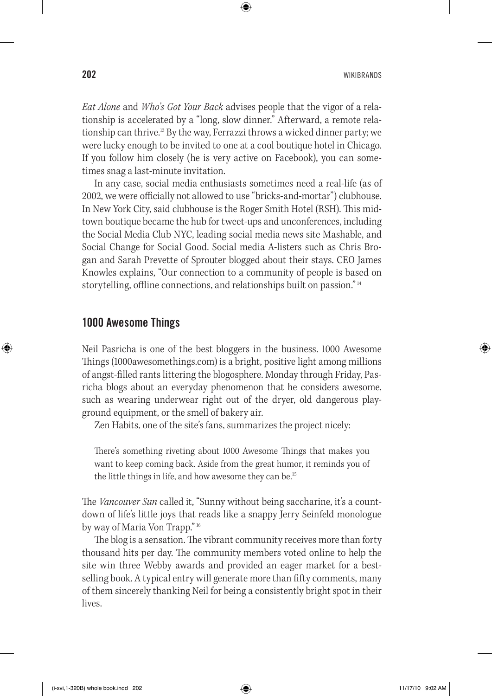*Eat Alone* and *Who's Got Your Back* advises people that the vigor of a relationship is accelerated by a "long, slow dinner." Afterward, a remote relationship can thrive.<sup>13</sup> By the way, Ferrazzi throws a wicked dinner party; we were lucky enough to be invited to one at a cool boutique hotel in Chicago. If you follow him closely (he is very active on Facebook), you can sometimes snag a last-minute invitation.

 In any case, social media enthusiasts sometimes need a real-life (as of 2002, we were officially not allowed to use "bricks-and-mortar") clubhouse. In New York City, said clubhouse is the Roger Smith Hotel (RSH). This midtown boutique became the hub for tweet-ups and unconferences, including the Social Media Club NYC, leading social media news site Mashable, and Social Change for Social Good. Social media A-listers such as Chris Brogan and Sarah Prevette of Sprouter blogged about their stays. CEO James Knowles explains, "Our connection to a community of people is based on storytelling, offline connections, and relationships built on passion."<sup>14</sup>

# 1000 Awesome Things

Neil Pasricha is one of the best bloggers in the business. 1000 Awesome Things (1000awesomethings.com) is a bright, positive light among millions of angst-fi lled rants littering the blogosphere. Monday through Friday, Pasricha blogs about an everyday phenomenon that he considers awesome, such as wearing underwear right out of the dryer, old dangerous playground equipment, or the smell of bakery air.

Zen Habits, one of the site's fans, summarizes the project nicely:

There's something riveting about 1000 Awesome Things that makes you want to keep coming back. Aside from the great humor, it reminds you of the little things in life, and how awesome they can be.<sup>15</sup>

The *Vancouver Sun* called it, "Sunny without being saccharine, it's a countdown of life's little joys that reads like a snappy Jerry Seinfeld monologue by way of Maria Von Trapp." 16

The blog is a sensation. The vibrant community receives more than forty thousand hits per day. The community members voted online to help the site win three Webby awards and provided an eager market for a bestselling book. A typical entry will generate more than fifty comments, many of them sincerely thanking Neil for being a consistently bright spot in their lives.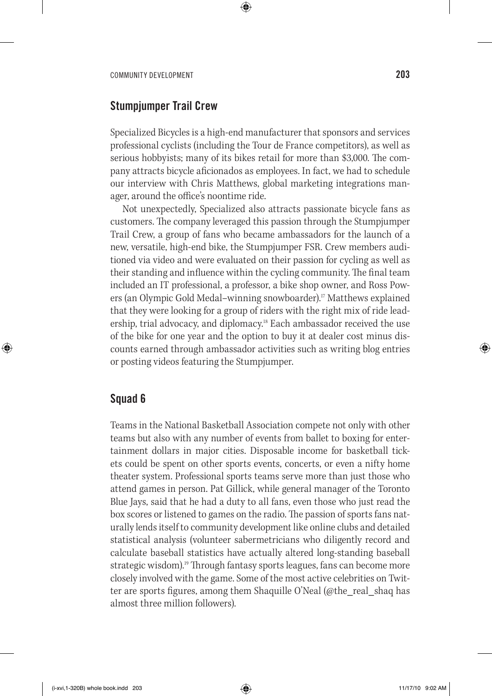# Stumpjumper Trail Crew

Specialized Bicycles is a high-end manufacturer that sponsors and services professional cyclists (including the Tour de France competitors), as well as serious hobbyists; many of its bikes retail for more than \$3,000. The company attracts bicycle aficionados as employees. In fact, we had to schedule our interview with Chris Matthews, global marketing integrations manager, around the office's noontime ride.

 Not unexpectedly, Specialized also attracts passionate bicycle fans as customers. The company leveraged this passion through the Stumpjumper Trail Crew, a group of fans who became ambassadors for the launch of a new, versatile, high-end bike, the Stumpjumper FSR. Crew members auditioned via video and were evaluated on their passion for cycling as well as their standing and influence within the cycling community. The final team included an IT professional, a professor, a bike shop owner, and Ross Powers (an Olympic Gold Medal–winning snowboarder).<sup>17</sup> Matthews explained that they were looking for a group of riders with the right mix of ride leadership, trial advocacy, and diplomacy.<sup>18</sup> Each ambassador received the use of the bike for one year and the option to buy it at dealer cost minus discounts earned through ambassador activities such as writing blog entries or posting videos featuring the Stumpjumper.

## Squad 6

Teams in the National Basketball Association compete not only with other teams but also with any number of events from ballet to boxing for entertainment dollars in major cities. Disposable income for basketball tickets could be spent on other sports events, concerts, or even a nifty home theater system. Professional sports teams serve more than just those who attend games in person. Pat Gillick, while general manager of the Toronto Blue Jays, said that he had a duty to all fans, even those who just read the box scores or listened to games on the radio. The passion of sports fans naturally lends itself to community development like online clubs and detailed statistical analysis (volunteer sabermetricians who diligently record and calculate baseball statistics have actually altered long-standing baseball strategic wisdom).<sup>19</sup> Through fantasy sports leagues, fans can become more closely involved with the game. Some of the most active celebrities on Twitter are sports figures, among them Shaquille O'Neal (@the\_real\_shaq has almost three million followers).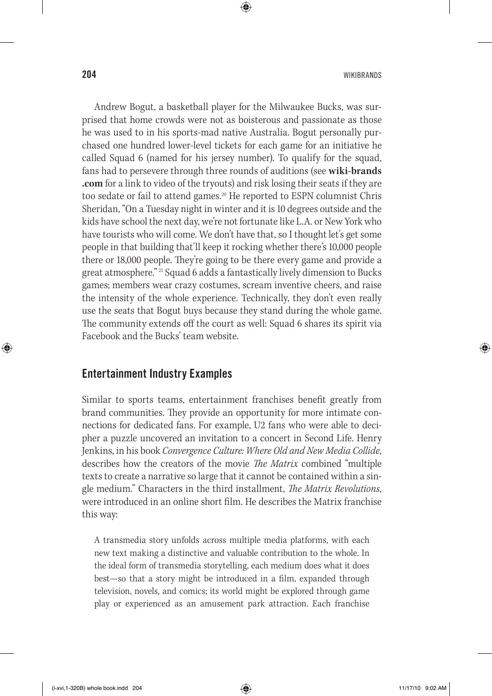Andrew Bogut, a basketball player for the Milwaukee Bucks, was surprised that home crowds were not as boisterous and passionate as those he was used to in his sports-mad native Australia. Bogut personally purchased one hundred lower-level tickets for each game for an initiative he called Squad 6 (named for his jersey number). To qualify for the squad, fans had to persevere through three rounds of auditions (see **wiki-brands .com** for a link to video of the tryouts) and risk losing their seats if they are too sedate or fail to attend games.<sup>20</sup> He reported to ESPN columnist Chris Sheridan, "On a Tuesday night in winter and it is 10 degrees outside and the kids have school the next day, we're not fortunate like L.A. or New York who have tourists who will come. We don't have that, so I thought let's get some people in that building that'll keep it rocking whether there's 10,000 people there or 18,000 people. They're going to be there every game and provide a great atmosphere."<sup>21</sup> Squad 6 adds a fantastically lively dimension to Bucks games; members wear crazy costumes, scream inventive cheers, and raise the intensity of the whole experience. Technically, they don't even really use the seats that Bogut buys because they stand during the whole game. The community extends off the court as well: Squad 6 shares its spirit via Facebook and the Bucks' team website.

# Entertainment Industry Examples

Similar to sports teams, entertainment franchises benefit greatly from brand communities. They provide an opportunity for more intimate connections for dedicated fans. For example, U2 fans who were able to decipher a puzzle uncovered an invitation to a concert in Second Life. Henry Jenkins, in his book *Convergence Culture: Where Old and New Media Collide*, describes how the creators of the movie *The Matrix* combined "multiple texts to create a narrative so large that it cannot be contained within a single medium." Characters in the third installment, *The Matrix Revolutions*, were introduced in an online short film. He describes the Matrix franchise this way:

A transmedia story unfolds across multiple media platforms, with each new text making a distinctive and valuable contribution to the whole. In the ideal form of transmedia storytelling, each medium does what it does best—so that a story might be introduced in a film, expanded through television, novels, and comics; its world might be explored through game play or experienced as an amusement park attraction. Each franchise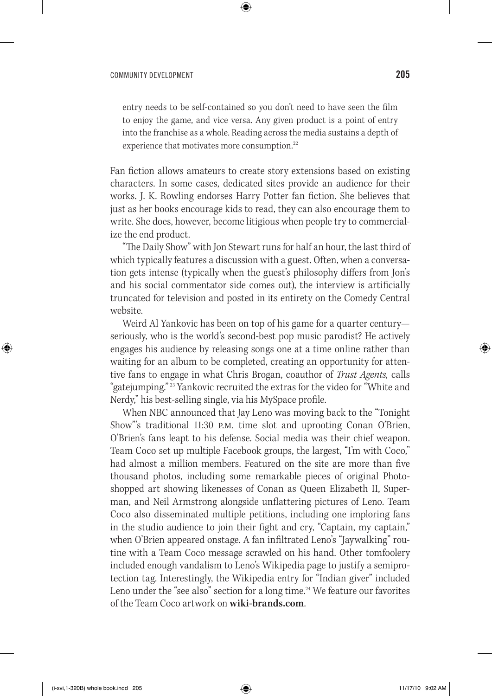entry needs to be self-contained so you don't need to have seen the film to enjoy the game, and vice versa. Any given product is a point of entry into the franchise as a whole. Reading across the media sustains a depth of experience that motivates more consumption.<sup>22</sup>

Fan fiction allows amateurs to create story extensions based on existing characters. In some cases, dedicated sites provide an audience for their works. J. K. Rowling endorses Harry Potter fan fiction. She believes that just as her books encourage kids to read, they can also encourage them to write. She does, however, become litigious when people try to commercialize the end product.

"The Daily Show" with Jon Stewart runs for half an hour, the last third of which typically features a discussion with a guest. Often, when a conversation gets intense (typically when the guest's philosophy differs from Jon's and his social commentator side comes out), the interview is artificially truncated for television and posted in its entirety on the Comedy Central website.

 Weird Al Yankovic has been on top of his game for a quarter century seriously, who is the world's second-best pop music parodist? He actively engages his audience by releasing songs one at a time online rather than waiting for an album to be completed, creating an opportunity for attentive fans to engage in what Chris Brogan, coauthor of *Trust Agents,* calls "gatejumping." 23 Yankovic recruited the extras for the video for "White and Nerdy," his best-selling single, via his MySpace profile.

 When NBC announced that Jay Leno was moving back to the "Tonight Show"'s traditional 11:30 p.m. time slot and uprooting Conan O'Brien, O'Brien's fans leapt to his defense. Social media was their chief weapon. Team Coco set up multiple Facebook groups, the largest, "I'm with Coco," had almost a million members. Featured on the site are more than five thousand photos, including some remarkable pieces of original Photoshopped art showing likenesses of Conan as Queen Elizabeth II, Superman, and Neil Armstrong alongside unflattering pictures of Leno. Team Coco also disseminated multiple petitions, including one imploring fans in the studio audience to join their fight and cry, "Captain, my captain," when O'Brien appeared onstage. A fan infiltrated Leno's "Jaywalking" routine with a Team Coco message scrawled on his hand. Other tomfoolery included enough vandalism to Leno's Wikipedia page to justify a semiprotection tag. Interestingly, the Wikipedia entry for "Indian giver" included Leno under the "see also" section for a long time. $24$  We feature our favorites of the Team Coco artwork on **wiki-brands.com**.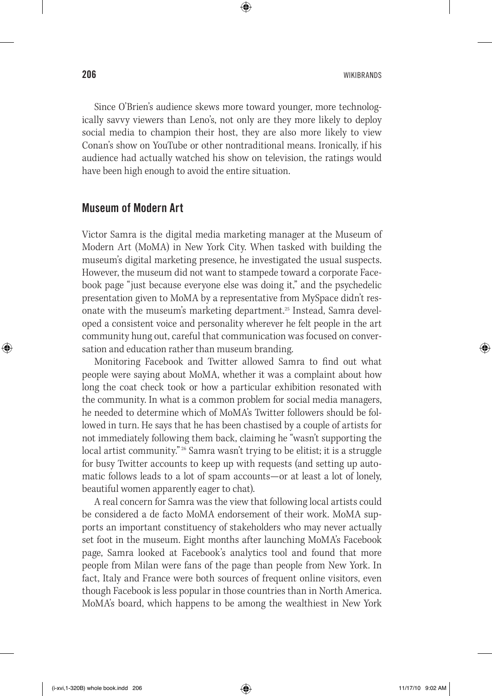Since O'Brien's audience skews more toward younger, more technologically savvy viewers than Leno's, not only are they more likely to deploy social media to champion their host, they are also more likely to view Conan's show on YouTube or other nontraditional means. Ironically, if his audience had actually watched his show on television, the ratings would have been high enough to avoid the entire situation.

## Museum of Modern Art

Victor Samra is the digital media marketing manager at the Museum of Modern Art (MoMA) in New York City. When tasked with building the museum's digital marketing presence, he investigated the usual suspects. However, the museum did not want to stampede toward a corporate Facebook page "just because everyone else was doing it," and the psychedelic presentation given to MoMA by a representative from MySpace didn't resonate with the museum's marketing department.<sup>25</sup> Instead, Samra developed a consistent voice and personality wherever he felt people in the art community hung out, careful that communication was focused on conversation and education rather than museum branding.

Monitoring Facebook and Twitter allowed Samra to find out what people were saying about MoMA, whether it was a complaint about how long the coat check took or how a particular exhibition resonated with the community. In what is a common problem for social media managers, he needed to determine which of MoMA's Twitter followers should be followed in turn. He says that he has been chastised by a couple of artists for not immediately following them back, claiming he "wasn't supporting the local artist community." <sup>26</sup> Samra wasn't trying to be elitist; it is a struggle for busy Twitter accounts to keep up with requests (and setting up automatic follows leads to a lot of spam accounts—or at least a lot of lonely, beautiful women apparently eager to chat).

 A real concern for Samra was the view that following local artists could be considered a de facto MoMA endorsement of their work. MoMA supports an important constituency of stakeholders who may never actually set foot in the museum. Eight months after launching MoMA's Facebook page, Samra looked at Facebook's analytics tool and found that more people from Milan were fans of the page than people from New York. In fact, Italy and France were both sources of frequent online visitors, even though Facebook is less popular in those countries than in North America. MoMA's board, which happens to be among the wealthiest in New York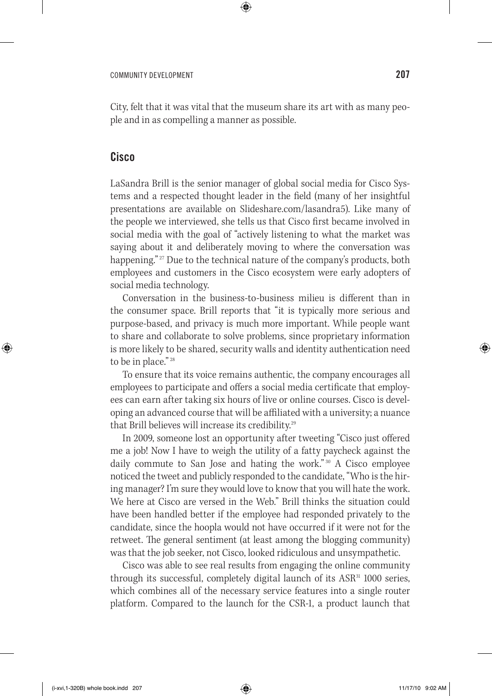City, felt that it was vital that the museum share its art with as many people and in as compelling a manner as possible.

### **Cisco**

LaSandra Brill is the senior manager of global social media for Cisco Systems and a respected thought leader in the field (many of her insightful presentations are available on Slideshare.com/lasandra5). Like many of the people we interviewed, she tells us that Cisco first became involved in social media with the goal of "actively listening to what the market was saying about it and deliberately moving to where the conversation was happening."<sup>27</sup> Due to the technical nature of the company's products, both employees and customers in the Cisco ecosystem were early adopters of social media technology.

Conversation in the business-to-business milieu is different than in the consumer space. Brill reports that "it is typically more serious and purpose-based, and privacy is much more important. While people want to share and collaborate to solve problems, since proprietary information is more likely to be shared, security walls and identity authentication need to be in place."<sup>28</sup>

 To ensure that its voice remains authentic, the company encourages all employees to participate and offers a social media certificate that employees can earn after taking six hours of live or online courses. Cisco is developing an advanced course that will be affiliated with a university; a nuance that Brill believes will increase its credibility.29

In 2009, someone lost an opportunity after tweeting "Cisco just offered me a job! Now I have to weigh the utility of a fatty paycheck against the daily commute to San Jose and hating the work."<sup>30</sup> A Cisco employee noticed the tweet and publicly responded to the candidate, "Who is the hiring manager? I'm sure they would love to know that you will hate the work. We here at Cisco are versed in the Web." Brill thinks the situation could have been handled better if the employee had responded privately to the candidate, since the hoopla would not have occurred if it were not for the retweet. The general sentiment (at least among the blogging community) was that the job seeker, not Cisco, looked ridiculous and unsympathetic.

 Cisco was able to see real results from engaging the online community through its successful, completely digital launch of its  $ASR<sup>31</sup> 1000$  series, which combines all of the necessary service features into a single router platform. Compared to the launch for the CSR-1, a product launch that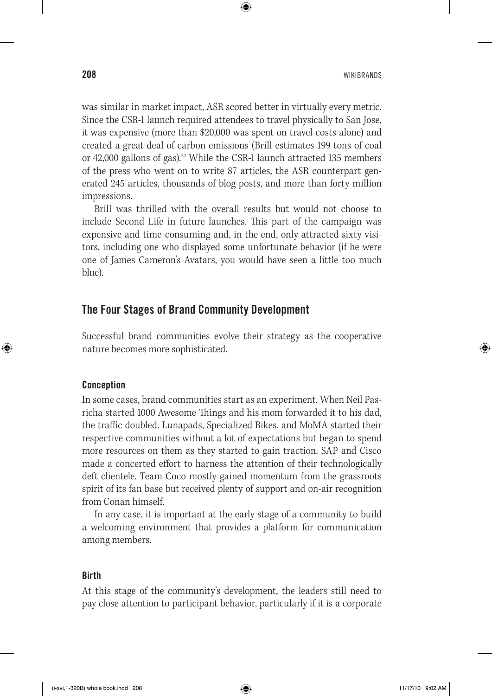was similar in market impact, ASR scored better in virtually every metric. Since the CSR-1 launch required attendees to travel physically to San Jose, it was expensive (more than \$20,000 was spent on travel costs alone) and created a great deal of carbon emissions (Brill estimates 199 tons of coal or 42,000 gallons of gas).<sup>32</sup> While the CSR-1 launch attracted 135 members of the press who went on to write 87 articles, the ASR counterpart generated 245 articles, thousands of blog posts, and more than forty million impressions.

 Brill was thrilled with the overall results but would not choose to include Second Life in future launches. This part of the campaign was expensive and time-consuming and, in the end, only attracted sixty visitors, including one who displayed some unfortunate behavior (if he were one of James Cameron's Avatars, you would have seen a little too much blue).

# The Four Stages of Brand Community Development

Successful brand communities evolve their strategy as the cooperative nature becomes more sophisticated.

#### **Conception**

In some cases, brand communities start as an experiment. When Neil Pasricha started 1000 Awesome Things and his mom forwarded it to his dad, the traffic doubled. Lunapads, Specialized Bikes, and MoMA started their respective communities without a lot of expectations but began to spend more resources on them as they started to gain traction. SAP and Cisco made a concerted effort to harness the attention of their technologically deft clientele. Team Coco mostly gained momentum from the grassroots spirit of its fan base but received plenty of support and on-air recognition from Conan himself.

 In any case, it is important at the early stage of a community to build a welcoming environment that provides a platform for communication among members.

#### Birth

At this stage of the community's development, the leaders still need to pay close attention to participant behavior, particularly if it is a corporate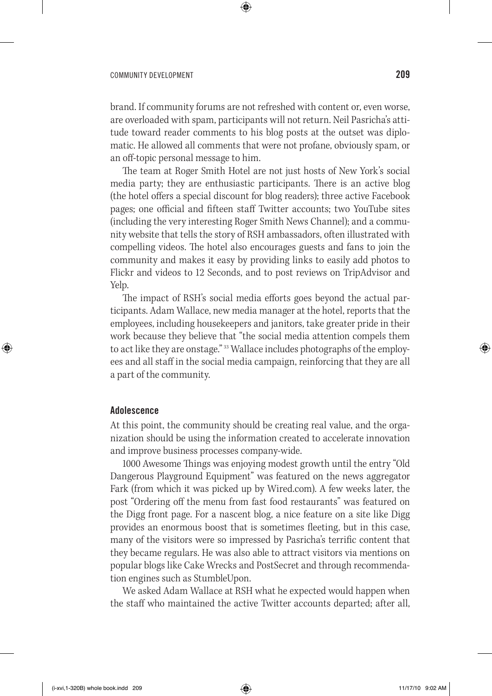brand. If community forums are not refreshed with content or, even worse, are overloaded with spam, participants will not return. Neil Pasricha's attitude toward reader comments to his blog posts at the outset was diplomatic. He allowed all comments that were not profane, obviously spam, or an off-topic personal message to him.

The team at Roger Smith Hotel are not just hosts of New York's social media party; they are enthusiastic participants. There is an active blog (the hotel offers a special discount for blog readers); three active Facebook pages; one official and fifteen staff Twitter accounts; two YouTube sites (including the very interesting Roger Smith News Channel); and a community website that tells the story of RSH ambassadors, often illustrated with compelling videos. The hotel also encourages guests and fans to join the community and makes it easy by providing links to easily add photos to Flickr and videos to 12 Seconds, and to post reviews on TripAdvisor and Yelp.

The impact of RSH's social media efforts goes beyond the actual participants. Adam Wallace, new media manager at the hotel, reports that the employees, including housekeepers and janitors, take greater pride in their work because they believe that "the social media attention compels them to act like they are onstage."<sup>33</sup> Wallace includes photographs of the employees and all staff in the social media campaign, reinforcing that they are all a part of the community.

#### Adolescence

At this point, the community should be creating real value, and the organization should be using the information created to accelerate innovation and improve business processes company-wide.

1000 Awesome Things was enjoying modest growth until the entry "Old" Dangerous Playground Equipment" was featured on the news aggregator Fark (from which it was picked up by Wired.com). A few weeks later, the post "Ordering off the menu from fast food restaurants" was featured on the Digg front page. For a nascent blog, a nice feature on a site like Digg provides an enormous boost that is sometimes fleeting, but in this case, many of the visitors were so impressed by Pasricha's terrific content that they became regulars. He was also able to attract visitors via mentions on popular blogs like Cake Wrecks and PostSecret and through recommendation engines such as StumbleUpon.

 We asked Adam Wallace at RSH what he expected would happen when the staff who maintained the active Twitter accounts departed; after all,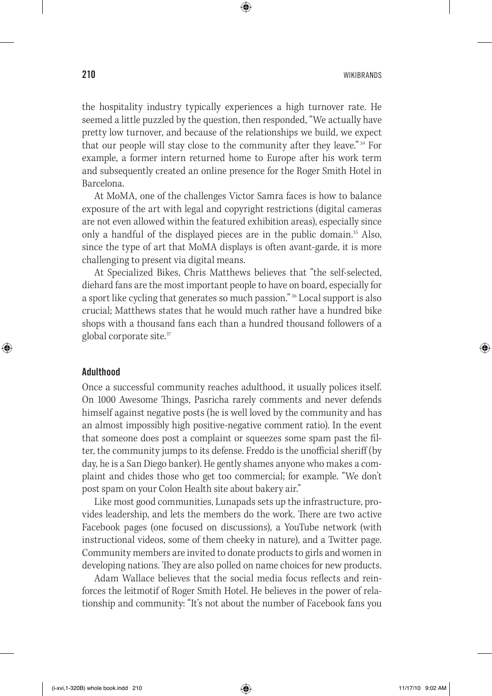the hospitality industry typically experiences a high turnover rate. He seemed a little puzzled by the question, then responded, "We actually have pretty low turnover, and because of the relationships we build, we expect that our people will stay close to the community after they leave." 34 For example, a former intern returned home to Europe after his work term and subsequently created an online presence for the Roger Smith Hotel in Barcelona.

 At MoMA, one of the challenges Victor Samra faces is how to balance exposure of the art with legal and copyright restrictions (digital cameras are not even allowed within the featured exhibition areas), especially since only a handful of the displayed pieces are in the public domain.<sup>35</sup> Also, since the type of art that MoMA displays is often avant-garde, it is more challenging to present via digital means.

 At Specialized Bikes, Chris Matthews believes that "the self-selected, diehard fans are the most important people to have on board, especially for a sport like cycling that generates so much passion." 36 Local support is also crucial; Matthews states that he would much rather have a hundred bike shops with a thousand fans each than a hundred thousand followers of a global corporate site.37

#### Adulthood

Once a successful community reaches adulthood, it usually polices itself. On 1000 Awesome Things, Pasricha rarely comments and never defends himself against negative posts (he is well loved by the community and has an almost impossibly high positive-negative comment ratio). In the event that someone does post a complaint or squeezes some spam past the filter, the community jumps to its defense. Freddo is the unofficial sheriff (by day, he is a San Diego banker). He gently shames anyone who makes a complaint and chides those who get too commercial; for example. "We don't post spam on your Colon Health site about bakery air."

 Like most good communities, Lunapads sets up the infrastructure, provides leadership, and lets the members do the work. There are two active Facebook pages (one focused on discussions), a YouTube network (with instructional videos, some of them cheeky in nature), and a Twitter page. Community members are invited to donate products to girls and women in developing nations. They are also polled on name choices for new products.

Adam Wallace believes that the social media focus reflects and reinforces the leitmotif of Roger Smith Hotel. He believes in the power of relationship and community: "It's not about the number of Facebook fans you